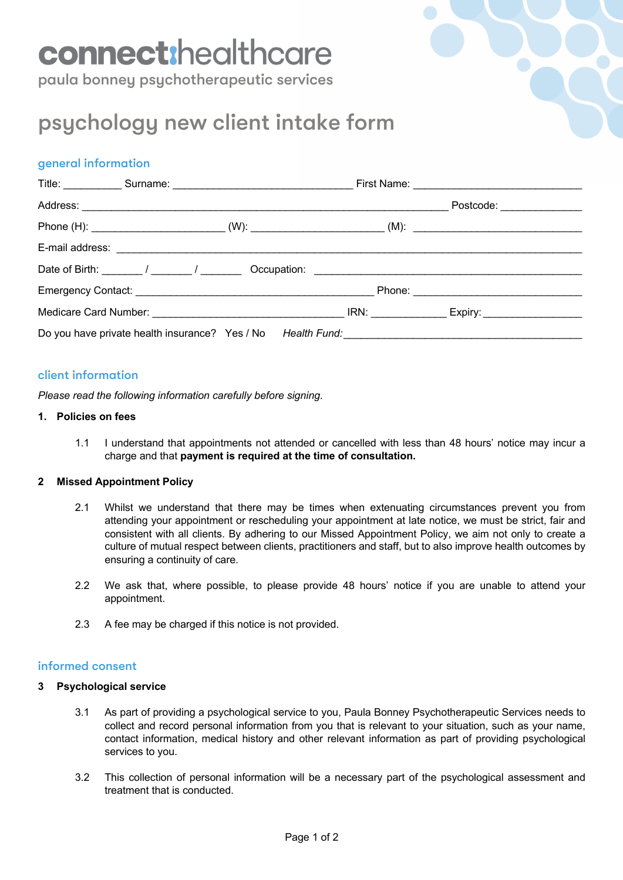# connect:healthcare

paula bonney psychotherapeutic services

# psychology new client intake form

## general information

|  |  |  | Postcode: _______________                                                                                      |  |
|--|--|--|----------------------------------------------------------------------------------------------------------------|--|
|  |  |  | Phone (H): ________________________________(W): _________________________(M): ________________________________ |  |
|  |  |  |                                                                                                                |  |
|  |  |  |                                                                                                                |  |
|  |  |  |                                                                                                                |  |
|  |  |  |                                                                                                                |  |
|  |  |  |                                                                                                                |  |

### client information

*Please read the following information carefully before signing.*

#### **1. Policies on fees**

1.1 I understand that appointments not attended or cancelled with less than 48 hours' notice may incur a charge and that **payment is required at the time of consultation.**

#### **2 Missed Appointment Policy**

- 2.1 Whilst we understand that there may be times when extenuating circumstances prevent you from attending your appointment or rescheduling your appointment at late notice, we must be strict, fair and consistent with all clients. By adhering to our Missed Appointment Policy, we aim not only to create a culture of mutual respect between clients, practitioners and staff, but to also improve health outcomes by ensuring a continuity of care.
- 2.2 We ask that, where possible, to please provide 48 hours' notice if you are unable to attend your appointment.
- 2.3 A fee may be charged if this notice is not provided.

#### informed consent

#### **3 Psychological service**

- 3.1 As part of providing a psychological service to you, Paula Bonney Psychotherapeutic Services needs to collect and record personal information from you that is relevant to your situation, such as your name, contact information, medical history and other relevant information as part of providing psychological services to you.
- 3.2 This collection of personal information will be a necessary part of the psychological assessment and treatment that is conducted.